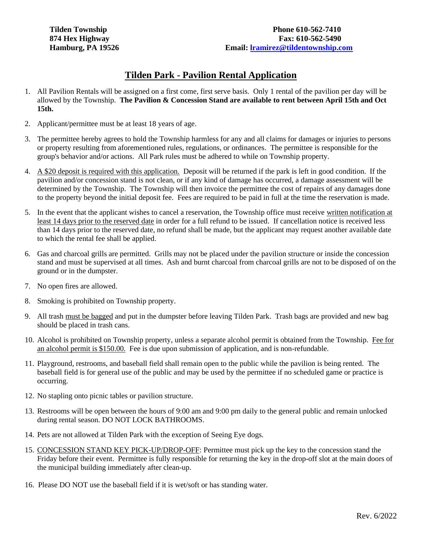## **Tilden Park - Pavilion Rental Application**

- 1. All Pavilion Rentals will be assigned on a first come, first serve basis. Only 1 rental of the pavilion per day will be allowed by the Township. **The Pavilion & Concession Stand are available to rent between April 15th and Oct 15th.**
- 2. Applicant/permittee must be at least 18 years of age.
- 3. The permittee hereby agrees to hold the Township harmless for any and all claims for damages or injuries to persons or property resulting from aforementioned rules, regulations, or ordinances. The permittee is responsible for the group's behavior and/or actions. All Park rules must be adhered to while on Township property.
- 4. A \$20 deposit is required with this application. Deposit will be returned if the park is left in good condition. If the pavilion and/or concession stand is not clean, or if any kind of damage has occurred, a damage assessment will be determined by the Township. The Township will then invoice the permittee the cost of repairs of any damages done to the property beyond the initial deposit fee. Fees are required to be paid in full at the time the reservation is made.
- 5. In the event that the applicant wishes to cancel a reservation, the Township office must receive written notification at least 14 days prior to the reserved date in order for a full refund to be issued. If cancellation notice is received less than 14 days prior to the reserved date, no refund shall be made, but the applicant may request another available date to which the rental fee shall be applied.
- 6. Gas and charcoal grills are permitted. Grills may not be placed under the pavilion structure or inside the concession stand and must be supervised at all times. Ash and burnt charcoal from charcoal grills are not to be disposed of on the ground or in the dumpster.
- 7. No open fires are allowed.
- 8. Smoking is prohibited on Township property.
- 9. All trash must be bagged and put in the dumpster before leaving Tilden Park. Trash bags are provided and new bag should be placed in trash cans.
- 10. Alcohol is prohibited on Township property, unless a separate alcohol permit is obtained from the Township. Fee for an alcohol permit is \$150.00. Fee is due upon submission of application, and is non-refundable.
- 11. Playground, restrooms, and baseball field shall remain open to the public while the pavilion is being rented. The baseball field is for general use of the public and may be used by the permittee if no scheduled game or practice is occurring.
- 12. No stapling onto picnic tables or pavilion structure.
- 13. Restrooms will be open between the hours of 9:00 am and 9:00 pm daily to the general public and remain unlocked during rental season. DO NOT LOCK BATHROOMS.
- 14. Pets are not allowed at Tilden Park with the exception of Seeing Eye dogs.
- 15. CONCESSION STAND KEY PICK-UP/DROP-OFF: Permittee must pick up the key to the concession stand the Friday before their event. Permittee is fully responsible for returning the key in the drop-off slot at the main doors of the municipal building immediately after clean-up.
- 16. Please DO NOT use the baseball field if it is wet/soft or has standing water.